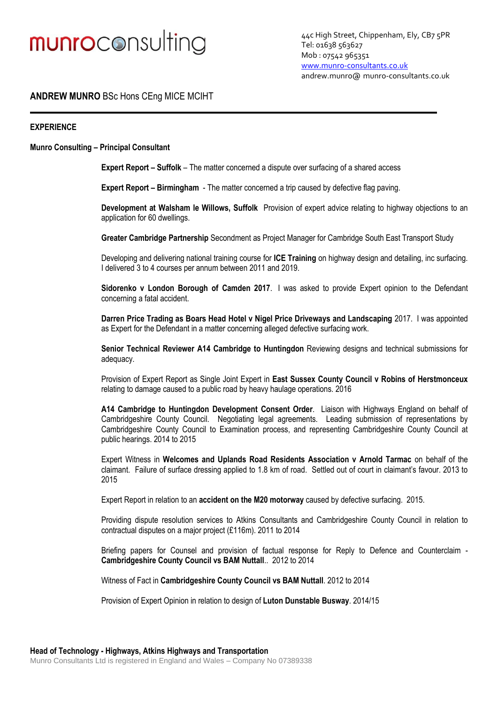## munroconsulting

44c High Street, Chippenham, Ely, CB7 5PR Tel: 01638 563627 Mob : 07542 965351 [www.munro-consultants.co.uk](http://www.munro-consultants.co.uk/) andrew.munro@ [munro-consultants.co.uk](mailto:andrew.munro@highways-consultant.co.uk)

### **ANDREW MUNRO** BSc Hons CEng MICE MCIHT

#### **EXPERIENCE**

#### **Munro Consulting – Principal Consultant**

**Expert Report – Suffolk** – The matter concerned a dispute over surfacing of a shared access

**Expert Report – Birmingham** - The matter concerned a trip caused by defective flag paving.

**Development at Walsham le Willows, Suffolk** Provision of expert advice relating to highway objections to an application for 60 dwellings.

**Greater Cambridge Partnership** Secondment as Project Manager for Cambridge South East Transport Study

Developing and delivering national training course for **ICE Training** on highway design and detailing, inc surfacing. I delivered 3 to 4 courses per annum between 2011 and 2019.

**Sidorenko v London Borough of Camden 2017**. I was asked to provide Expert opinion to the Defendant concerning a fatal accident.

**Darren Price Trading as Boars Head Hotel v Nigel Price Driveways and Landscaping** 2017. I was appointed as Expert for the Defendant in a matter concerning alleged defective surfacing work.

**Senior Technical Reviewer A14 Cambridge to Huntingdon** Reviewing designs and technical submissions for adequacy.

Provision of Expert Report as Single Joint Expert in **East Sussex County Council v Robins of Herstmonceux**  relating to damage caused to a public road by heavy haulage operations. 2016

**A14 Cambridge to Huntingdon Development Consent Order**. Liaison with Highways England on behalf of Cambridgeshire County Council. Negotiating legal agreements. Leading submission of representations by Cambridgeshire County Council to Examination process, and representing Cambridgeshire County Council at public hearings. 2014 to 2015

Expert Witness in **Welcomes and Uplands Road Residents Association v Arnold Tarmac** on behalf of the claimant. Failure of surface dressing applied to 1.8 km of road. Settled out of court in claimant's favour. 2013 to 2015

Expert Report in relation to an **accident on the M20 motorway** caused by defective surfacing. 2015.

Providing dispute resolution services to Atkins Consultants and Cambridgeshire County Council in relation to contractual disputes on a major project (£116m). 2011 to 2014

Briefing papers for Counsel and provision of factual response for Reply to Defence and Counterclaim - **Cambridgeshire County Council vs BAM Nuttall**.. 2012 to 2014

Witness of Fact in **Cambridgeshire County Council vs BAM Nuttall**. 2012 to 2014

Provision of Expert Opinion in relation to design of **Luton Dunstable Busway**. 2014/15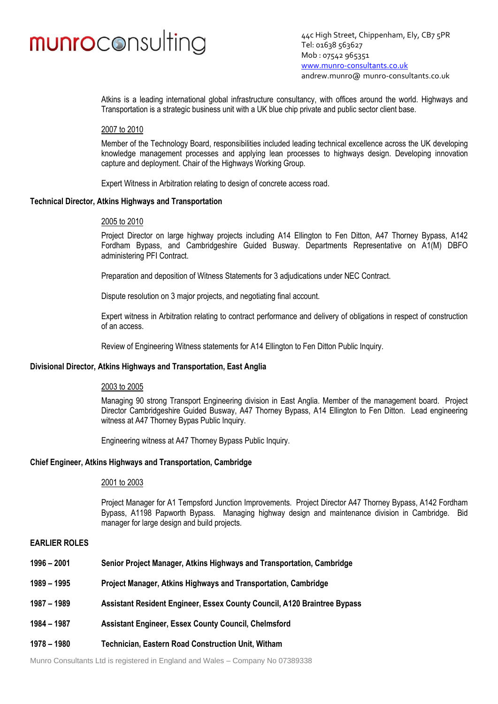### munroconsulting

44c High Street, Chippenham, Ely, CB7 5PR Tel: 01638 563627 Mob : 07542 965351 [www.munro-consultants.co.uk](http://www.munro-consultants.co.uk/) andrew.munro@ [munro-consultants.co.uk](mailto:andrew.munro@highways-consultant.co.uk)

Atkins is a leading international global infrastructure consultancy, with offices around the world. Highways and Transportation is a strategic business unit with a UK blue chip private and public sector client base.

#### 2007 to 2010

Member of the Technology Board, responsibilities included leading technical excellence across the UK developing knowledge management processes and applying lean processes to highways design. Developing innovation capture and deployment. Chair of the Highways Working Group.

Expert Witness in Arbitration relating to design of concrete access road.

#### **Technical Director, Atkins Highways and Transportation**

#### 2005 to 2010

Project Director on large highway projects including A14 Ellington to Fen Ditton, A47 Thorney Bypass, A142 Fordham Bypass, and Cambridgeshire Guided Busway. Departments Representative on A1(M) DBFO administering PFI Contract.

Preparation and deposition of Witness Statements for 3 adjudications under NEC Contract.

Dispute resolution on 3 major projects, and negotiating final account.

Expert witness in Arbitration relating to contract performance and delivery of obligations in respect of construction of an access.

Review of Engineering Witness statements for A14 Ellington to Fen Ditton Public Inquiry.

#### **Divisional Director, Atkins Highways and Transportation, East Anglia**

#### 2003 to 2005

Managing 90 strong Transport Engineering division in East Anglia. Member of the management board. Project Director Cambridgeshire Guided Busway, A47 Thorney Bypass, A14 Ellington to Fen Ditton. Lead engineering witness at A47 Thorney Bypas Public Inquiry.

Engineering witness at A47 Thorney Bypass Public Inquiry.

#### **Chief Engineer, Atkins Highways and Transportation, Cambridge**

#### 2001 to 2003

Project Manager for A1 Tempsford Junction Improvements. Project Director A47 Thorney Bypass, A142 Fordham Bypass, A1198 Papworth Bypass. Managing highway design and maintenance division in Cambridge. Bid manager for large design and build projects.

#### **EARLIER ROLES**

- **1996 – 2001 Senior Project Manager, Atkins Highways and Transportation, Cambridge**
- **1989 – 1995 Project Manager, Atkins Highways and Transportation, Cambridge**
- **1987 – 1989 Assistant Resident Engineer, Essex County Council, A120 Braintree Bypass**
- **1984 – 1987 Assistant Engineer, Essex County Council, Chelmsford**
- **1978 – 1980 Technician, Eastern Road Construction Unit, Witham**

Munro Consultants Ltd is registered in England and Wales – Company No 07389338